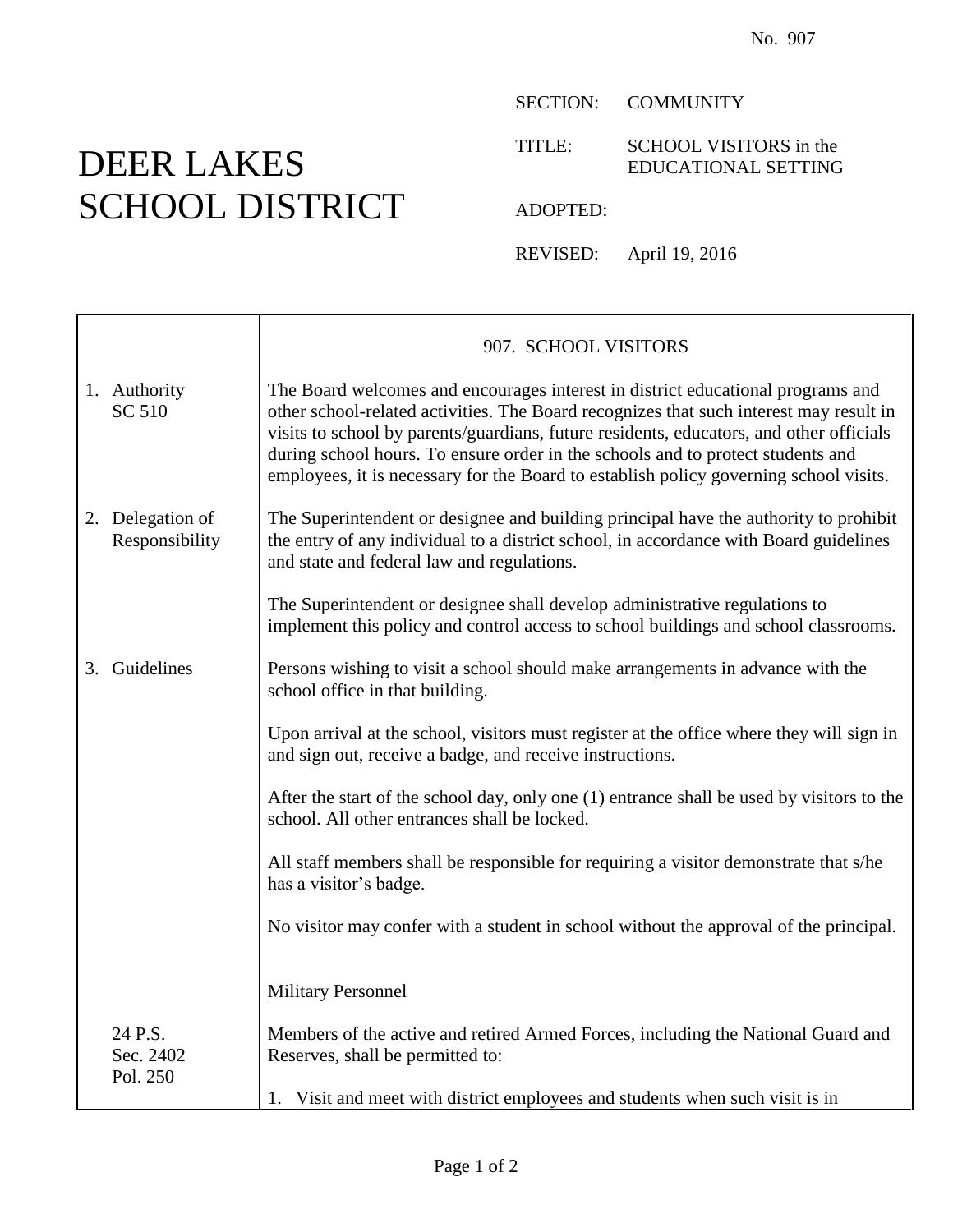## DEER LAKES SCHOOL DISTRICT

 $\mathsf{r}$ 

SECTION: COMMUNITY

TITLE: SCHOOL VISITORS in the EDUCATIONAL SETTING

ADOPTED:

REVISED: April 19, 2016

|                                    | 907. SCHOOL VISITORS                                                                                                                                                                                                                                                                                                                                                                                                                             |
|------------------------------------|--------------------------------------------------------------------------------------------------------------------------------------------------------------------------------------------------------------------------------------------------------------------------------------------------------------------------------------------------------------------------------------------------------------------------------------------------|
| 1. Authority<br>SC 510             | The Board welcomes and encourages interest in district educational programs and<br>other school-related activities. The Board recognizes that such interest may result in<br>visits to school by parents/guardians, future residents, educators, and other officials<br>during school hours. To ensure order in the schools and to protect students and<br>employees, it is necessary for the Board to establish policy governing school visits. |
| 2. Delegation of<br>Responsibility | The Superintendent or designee and building principal have the authority to prohibit<br>the entry of any individual to a district school, in accordance with Board guidelines<br>and state and federal law and regulations.                                                                                                                                                                                                                      |
|                                    | The Superintendent or designee shall develop administrative regulations to<br>implement this policy and control access to school buildings and school classrooms.                                                                                                                                                                                                                                                                                |
| 3. Guidelines                      | Persons wishing to visit a school should make arrangements in advance with the<br>school office in that building.                                                                                                                                                                                                                                                                                                                                |
|                                    | Upon arrival at the school, visitors must register at the office where they will sign in<br>and sign out, receive a badge, and receive instructions.                                                                                                                                                                                                                                                                                             |
|                                    | After the start of the school day, only one (1) entrance shall be used by visitors to the<br>school. All other entrances shall be locked.                                                                                                                                                                                                                                                                                                        |
|                                    | All staff members shall be responsible for requiring a visitor demonstrate that s/he<br>has a visitor's badge.                                                                                                                                                                                                                                                                                                                                   |
|                                    | No visitor may confer with a student in school without the approval of the principal.                                                                                                                                                                                                                                                                                                                                                            |
|                                    | <b>Military Personnel</b>                                                                                                                                                                                                                                                                                                                                                                                                                        |
| 24 P.S.<br>Sec. 2402<br>Pol. 250   | Members of the active and retired Armed Forces, including the National Guard and<br>Reserves, shall be permitted to:                                                                                                                                                                                                                                                                                                                             |
|                                    | 1. Visit and meet with district employees and students when such visit is in                                                                                                                                                                                                                                                                                                                                                                     |